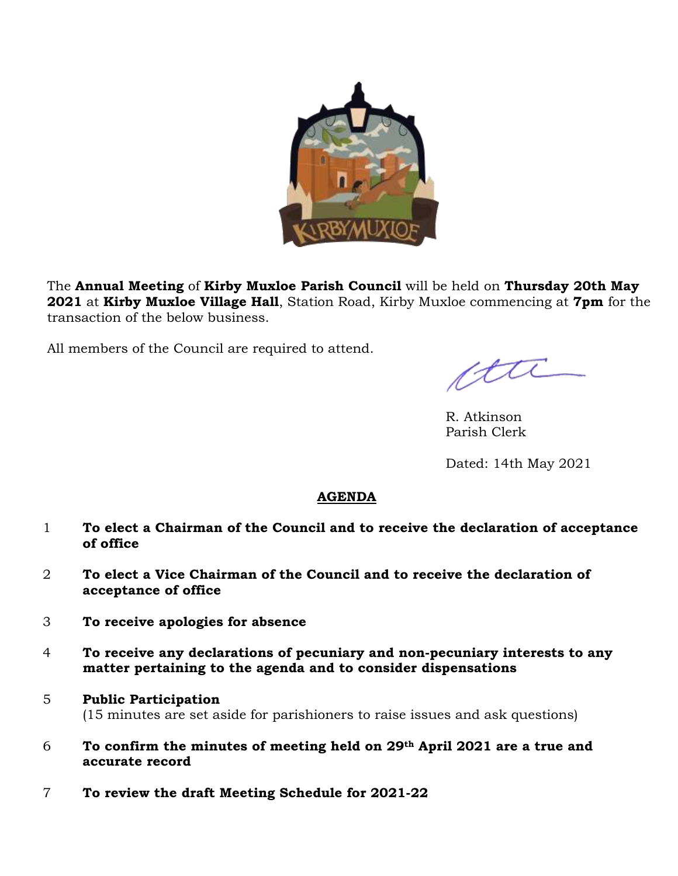

The **Annual Meeting** of **Kirby Muxloe Parish Council** will be held on **Thursday 20th May 2021** at **Kirby Muxloe Village Hall**, Station Road, Kirby Muxloe commencing at **7pm** for the transaction of the below business.

All members of the Council are required to attend.

ctte

R. Atkinson Parish Clerk

Dated: 14th May 2021

## **AGENDA**

- 1 **To elect a Chairman of the Council and to receive the declaration of acceptance of office**
- 2 **To elect a Vice Chairman of the Council and to receive the declaration of acceptance of office**
- 3 **To receive apologies for absence**
- 4 **To receive any declarations of pecuniary and non-pecuniary interests to any matter pertaining to the agenda and to consider dispensations**
- 5 **Public Participation**  (15 minutes are set aside for parishioners to raise issues and ask questions)
- 6 **To confirm the minutes of meeting held on 29th April 2021 are a true and accurate record**
- 7 **To review the draft Meeting Schedule for 2021-22**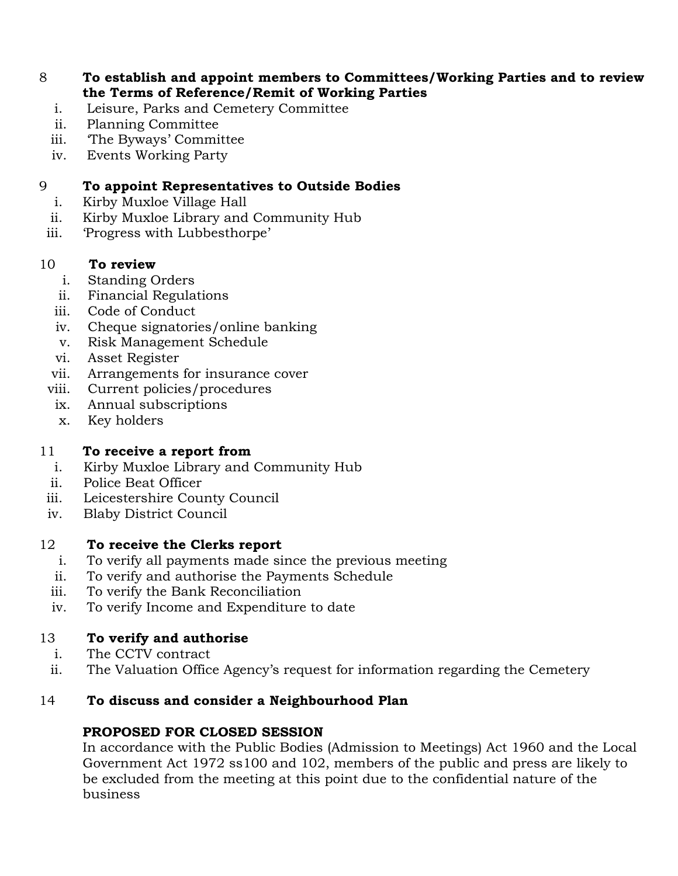#### 8 **To establish and appoint members to Committees/Working Parties and to review the Terms of Reference/Remit of Working Parties**

- i. Leisure, Parks and Cemetery Committee
- ii. Planning Committee
- iii. 'The Byways' Committee
- iv. Events Working Party

### 9 **To appoint Representatives to Outside Bodies**

- i. Kirby Muxloe Village Hall
- ii. Kirby Muxloe Library and Community Hub
- iii. 'Progress with Lubbesthorpe'

#### 10 **To review**

- i. Standing Orders
- ii. Financial Regulations
- iii. Code of Conduct
- iv. Cheque signatories/online banking
- v. Risk Management Schedule
- vi. Asset Register
- vii. Arrangements for insurance cover
- viii. Current policies/procedures
- ix. Annual subscriptions
- x. Key holders

### 11 **To receive a report from**

- i. Kirby Muxloe Library and Community Hub
- ii. Police Beat Officer
- iii. Leicestershire County Council
- iv. Blaby District Council

#### 12 **To receive the Clerks report**

- i. To verify all payments made since the previous meeting
- ii. To verify and authorise the Payments Schedule
- iii. To verify the Bank Reconciliation
- iv. To verify Income and Expenditure to date

### 13 **To verify and authorise**

- i. The CCTV contract
- ii. The Valuation Office Agency's request for information regarding the Cemetery

### 14 **To discuss and consider a Neighbourhood Plan**

### **PROPOSED FOR CLOSED SESSION**

In accordance with the Public Bodies (Admission to Meetings) Act 1960 and the Local Government Act 1972 ss100 and 102, members of the public and press are likely to be excluded from the meeting at this point due to the confidential nature of the business